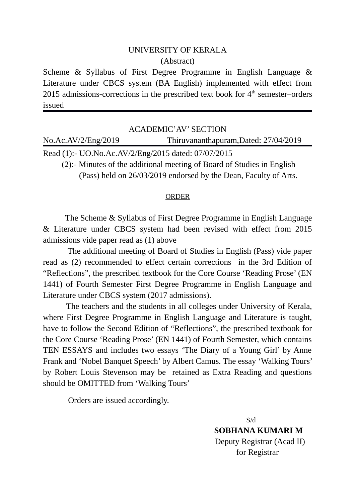## UNIVERSITY OF KERALA (Abstract)

Scheme & Syllabus of First Degree Programme in English Language & Literature under CBCS system (BA English) implemented with effect from 2015 admissions-corrections in the prescribed text book for  $4<sup>th</sup>$  semester–orders issued

| ACADEMIC'AV' SECTION                                                   |                                       |
|------------------------------------------------------------------------|---------------------------------------|
| No.Ac.AV/2/Eng/2019                                                    | Thiruvananthapuram, Dated: 27/04/2019 |
| Read (1):- UO.No.Ac.AV/2/Eng/2015 dated: 07/07/2015                    |                                       |
| (2):- Minutes of the additional meeting of Board of Studies in English |                                       |

(Pass) held on 26/03/2019 endorsed by the Dean, Faculty of Arts.

## ORDER

 The Scheme & Syllabus of First Degree Programme in English Language & Literature under CBCS system had been revised with effect from 2015 admissions vide paper read as (1) above

 The additional meeting of Board of Studies in English (Pass) vide paper read as (2) recommended to effect certain corrections in the 3rd Edition of "Reflections", the prescribed textbook for the Core Course 'Reading Prose' (EN 1441) of Fourth Semester First Degree Programme in English Language and Literature under CBCS system (2017 admissions).

 The teachers and the students in all colleges under University of Kerala, where First Degree Programme in English Language and Literature is taught, have to follow the Second Edition of "Reflections", the prescribed textbook for the Core Course 'Reading Prose' (EN 1441) of Fourth Semester, which contains TEN ESSAYS and includes two essays 'The Diary of a Young Girl' by Anne Frank and 'Nobel Banquet Speech' by Albert Camus. The essay 'Walking Tours' by Robert Louis Stevenson may be retained as Extra Reading and questions should be OMITTED from 'Walking Tours'

Orders are issued accordingly.

 S/d  **SOBHANA KUMARI M** Deputy Registrar (Acad II) for Registrar